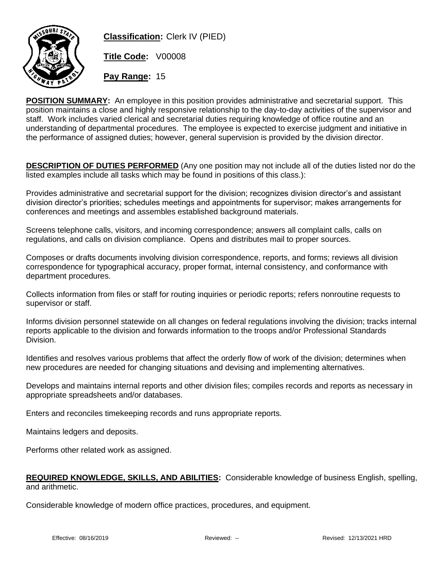

**Classification:** Clerk IV (PIED)

**Title Code:** V00008

**Pay Range:** 15

**POSITION SUMMARY:** An employee in this position provides administrative and secretarial support. This position maintains a close and highly responsive relationship to the day-to-day activities of the supervisor and staff. Work includes varied clerical and secretarial duties requiring knowledge of office routine and an understanding of departmental procedures. The employee is expected to exercise judgment and initiative in the performance of assigned duties; however, general supervision is provided by the division director.

**DESCRIPTION OF DUTIES PERFORMED** (Any one position may not include all of the duties listed nor do the listed examples include all tasks which may be found in positions of this class.):

Provides administrative and secretarial support for the division; recognizes division director's and assistant division director's priorities; schedules meetings and appointments for supervisor; makes arrangements for conferences and meetings and assembles established background materials.

Screens telephone calls, visitors, and incoming correspondence; answers all complaint calls, calls on regulations, and calls on division compliance. Opens and distributes mail to proper sources.

Composes or drafts documents involving division correspondence, reports, and forms; reviews all division correspondence for typographical accuracy, proper format, internal consistency, and conformance with department procedures.

Collects information from files or staff for routing inquiries or periodic reports; refers nonroutine requests to supervisor or staff.

Informs division personnel statewide on all changes on federal regulations involving the division; tracks internal reports applicable to the division and forwards information to the troops and/or Professional Standards Division.

Identifies and resolves various problems that affect the orderly flow of work of the division; determines when new procedures are needed for changing situations and devising and implementing alternatives.

Develops and maintains internal reports and other division files; compiles records and reports as necessary in appropriate spreadsheets and/or databases.

Enters and reconciles timekeeping records and runs appropriate reports.

Maintains ledgers and deposits.

Performs other related work as assigned.

## **REQUIRED KNOWLEDGE, SKILLS, AND ABILITIES:** Considerable knowledge of business English, spelling, and arithmetic.

Considerable knowledge of modern office practices, procedures, and equipment.